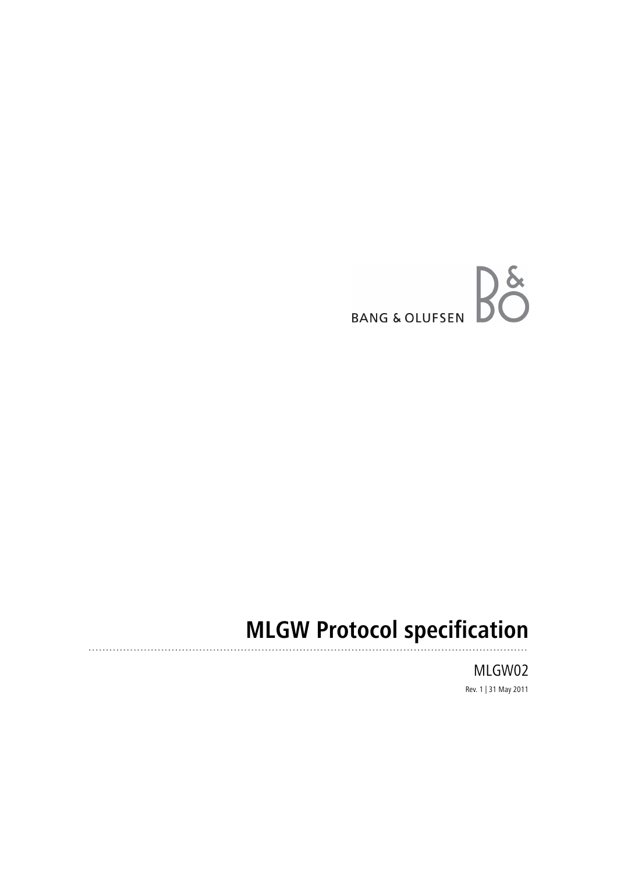

# **MLGW Protocol specification**

MLGW02 Rev. 1 | 31 May 2011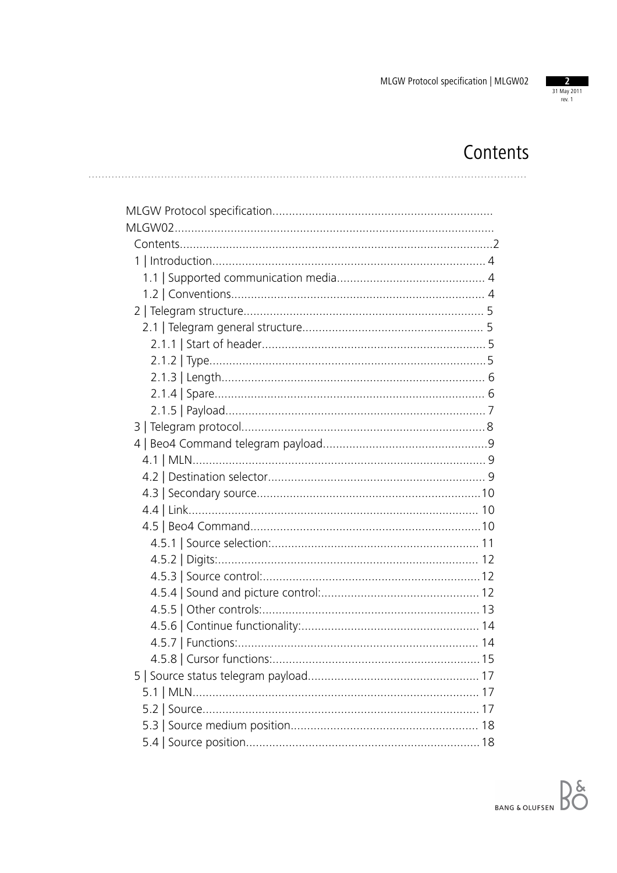

## Contents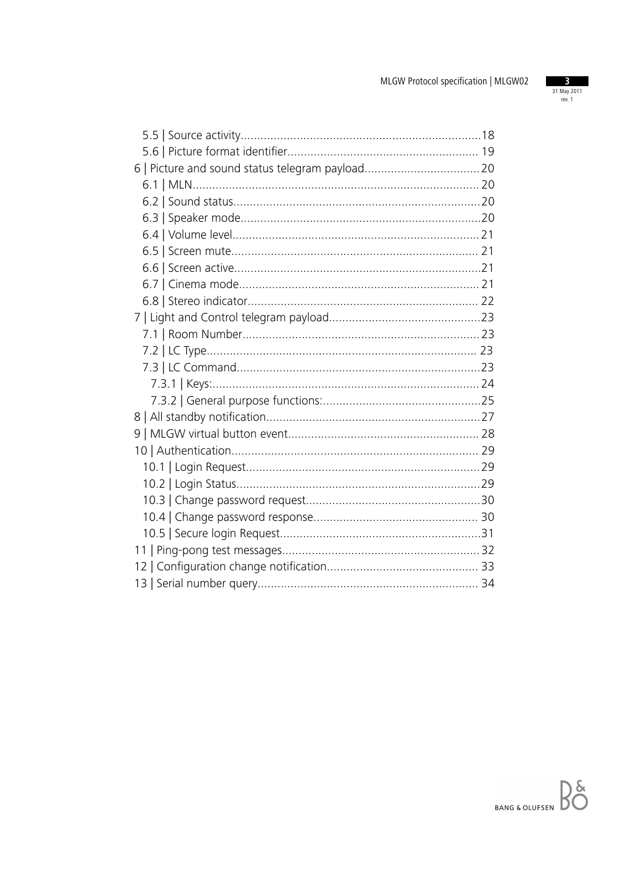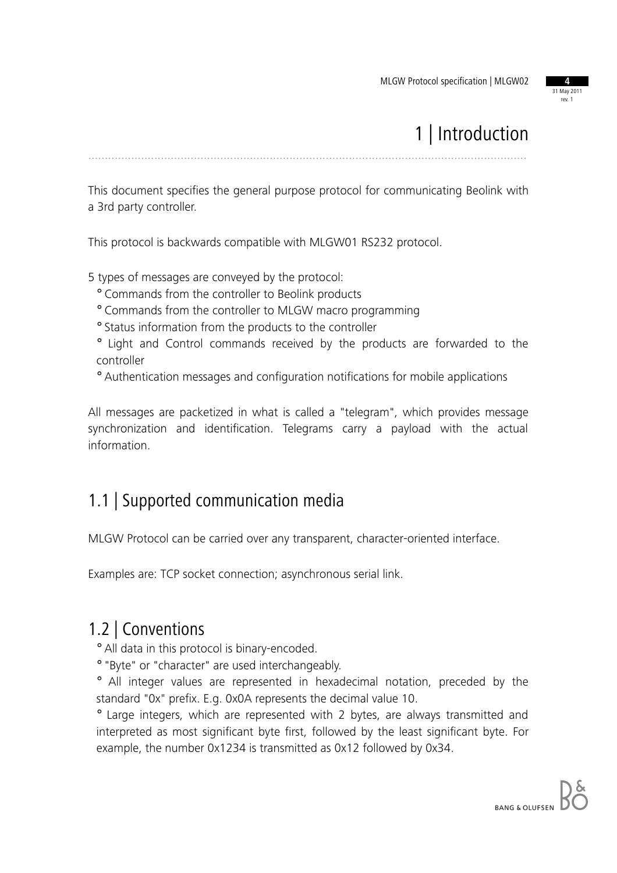31 May 2011 rev. 1

## 1 | Introduction

.....................................................................................................................................

This document specifies the general purpose protocol for communicating Beolink with a 3rd party controller.

This protocol is backwards compatible with MLGW01 RS232 protocol.

5 types of messages are conveyed by the protocol:

- ° Commands from the controller to Beolink products
- ° Commands from the controller to MLGW macro programming
- ° Status information from the products to the controller
- ° Light and Control commands received by the products are forwarded to the controller
- ° Authentication messages and configuration notifications for mobile applications

All messages are packetized in what is called a "telegram", which provides message synchronization and identification. Telegrams carry a payload with the actual information.

#### 1.1 | Supported communication media

MLGW Protocol can be carried over any transparent, character-oriented interface.

Examples are: TCP socket connection; asynchronous serial link.

#### 1.2 | Conventions

° All data in this protocol is binary-encoded.

° "Byte" or "character" are used interchangeably.

° All integer values are represented in hexadecimal notation, preceded by the standard "0x" prefix. E.g. 0x0A represents the decimal value 10.

° Large integers, which are represented with 2 bytes, are always transmitted and interpreted as most significant byte first, followed by the least significant byte. For example, the number 0x1234 is transmitted as 0x12 followed by 0x34.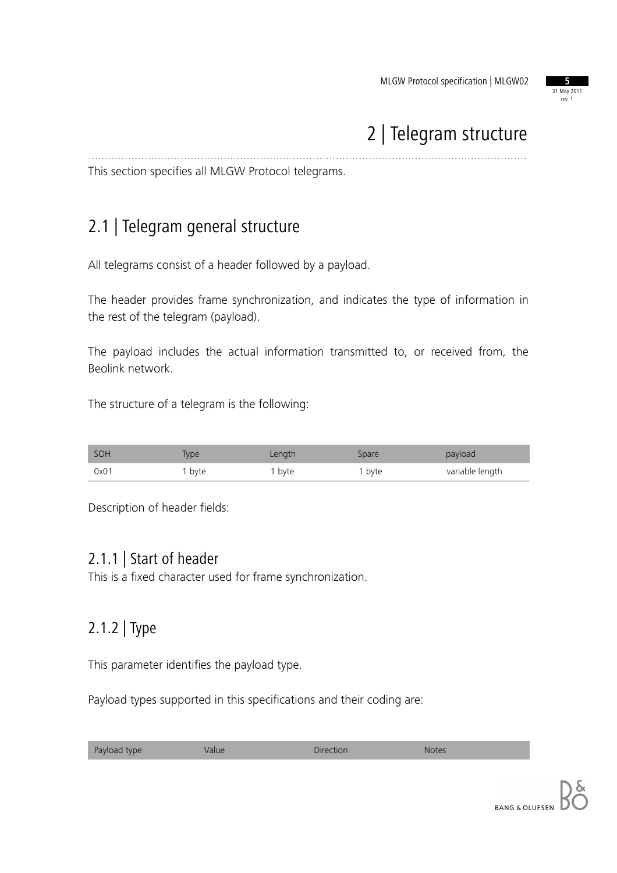

## 2 | Telegram structure

This section specifies all MLGW Protocol telegrams.

### 2.1 | Telegram general structure

All telegrams consist of a header followed by a payload.

The header provides frame synchronization, and indicates the type of information in the rest of the telegram (payload).

.....................................................................................................................................

The payload includes the actual information transmitted to, or received from, the Beolink network.

The structure of a telegram is the following:

| SOH  | <b>iype</b> | Length | Spare  | payload         |
|------|-------------|--------|--------|-----------------|
| 0x01 | byte        | , byte | I byte | variable length |

Description of header fields:

#### 2.1.1 | Start of header

This is a fixed character used for frame synchronization.

#### 2.1.2 | Type

This parameter identifies the payload type.

Payload types supported in this specifications and their coding are:

| Payload type<br>Direction<br>Value<br><b>Notes</b> |
|----------------------------------------------------|
|----------------------------------------------------|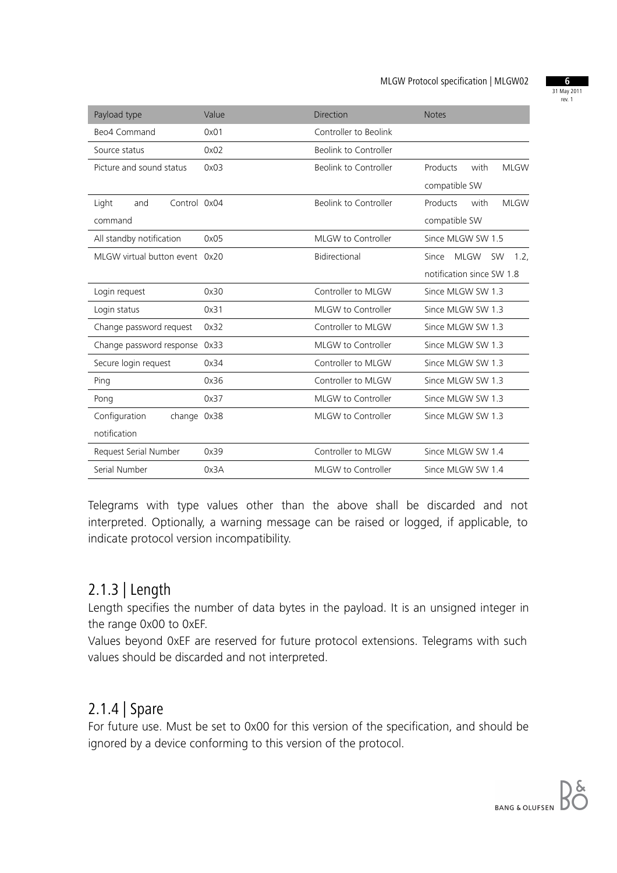31 May 2011 rev. 1

| Payload type                   | Value | Direction             | <b>Notes</b>                              |
|--------------------------------|-------|-----------------------|-------------------------------------------|
| Beo4 Command                   | 0x01  | Controller to Beolink |                                           |
| Source status                  | 0x02  | Beolink to Controller |                                           |
| Picture and sound status       | 0x03  | Beolink to Controller | Products<br>with<br><b>MLGW</b>           |
|                                |       |                       | compatible SW                             |
| Control 0x04<br>Light<br>and   |       | Beolink to Controller | Products<br>with<br><b>MLGW</b>           |
| command                        |       |                       | compatible SW                             |
| All standby notification       | 0x05  | MLGW to Controller    | Since MLGW SW 1.5                         |
| MLGW virtual button event 0x20 |       | Bidirectional         | <b>MLGW</b><br>Since<br><b>SW</b><br>1.2. |
|                                |       |                       | notification since SW 1.8                 |
| Login request                  | 0x30  | Controller to MLGW    | Since MLGW SW 1.3                         |
| Login status                   | 0x31  | MLGW to Controller    | Since MLGW SW 1.3                         |
| Change password request        | 0x32  | Controller to MLGW    | Since MLGW SW 1.3                         |
| Change password response       | 0x33  | MLGW to Controller    | Since MLGW SW 1.3                         |
| Secure login request           | 0x34  | Controller to MLGW    | Since MLGW SW 1.3                         |
| Ping                           | 0x36  | Controller to MLGW    | Since MLGW SW 1.3                         |
| Pong                           | 0x37  | MLGW to Controller    | Since MLGW SW 1.3                         |
| Configuration<br>change 0x38   |       | MLGW to Controller    | Since MLGW SW 1.3                         |
| notification                   |       |                       |                                           |
| Request Serial Number          | 0x39  | Controller to MLGW    | Since MLGW SW 1.4                         |
| Serial Number                  | 0x3A  | MLGW to Controller    | Since MLGW SW 1.4                         |

Telegrams with type values other than the above shall be discarded and not interpreted. Optionally, a warning message can be raised or logged, if applicable, to indicate protocol version incompatibility.

#### 2.1.3 | Length

Length specifies the number of data bytes in the payload. It is an unsigned integer in the range 0x00 to 0xEF.

Values beyond 0xEF are reserved for future protocol extensions. Telegrams with such values should be discarded and not interpreted.

#### 2.1.4 | Spare

For future use. Must be set to 0x00 for this version of the specification, and should be ignored by a device conforming to this version of the protocol.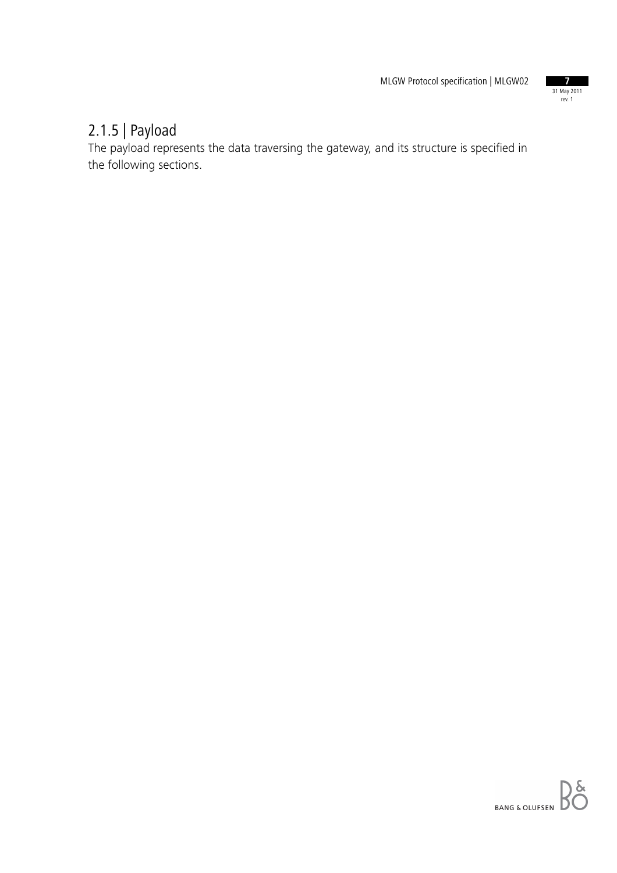

### 2.1.5 | Payload

The payload represents the data traversing the gateway, and its structure is specified in the following sections.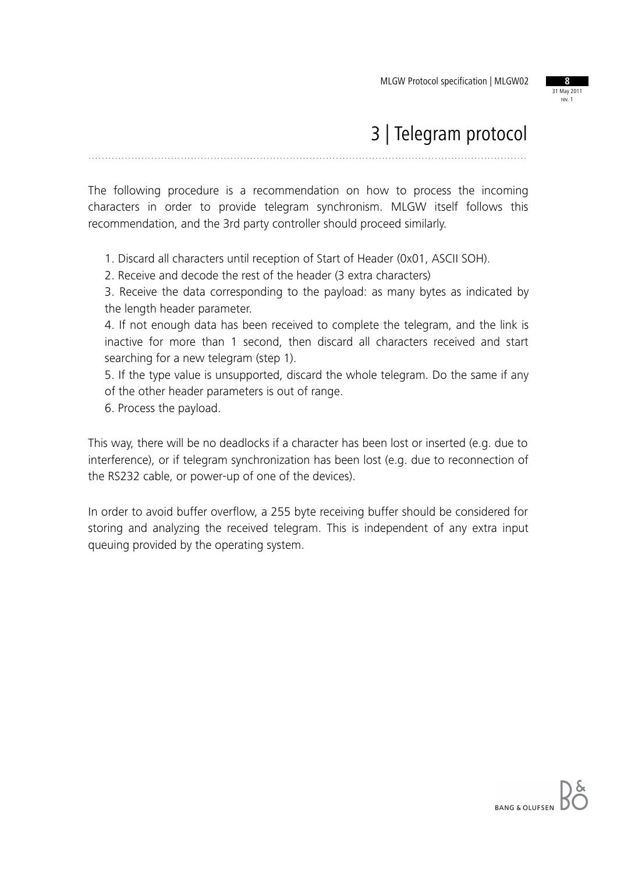

## 3 | Telegram protocol

.....................................................................................................................................

The following procedure is a recommendation on how to process the incoming characters in order to provide telegram synchronism. MLGW itself follows this recommendation, and the 3rd party controller should proceed similarly.

1. Discard all characters until reception of Start of Header (0x01, ASCII SOH).

2. Receive and decode the rest of the header (3 extra characters)

3. Receive the data corresponding to the payload: as many bytes as indicated by the length header parameter.

4. If not enough data has been received to complete the telegram, and the link is inactive for more than 1 second, then discard all characters received and start searching for a new telegram (step 1).

5. If the type value is unsupported, discard the whole telegram. Do the same if any of the other header parameters is out of range.

6. Process the payload.

This way, there will be no deadlocks if a character has been lost or inserted (e.g. due to interference), or if telegram synchronization has been lost (e.g. due to reconnection of the RS232 cable, or power-up of one of the devices).

In order to avoid buffer overflow, a 255 byte receiving buffer should be considered for storing and analyzing the received telegram. This is independent of any extra input queuing provided by the operating system.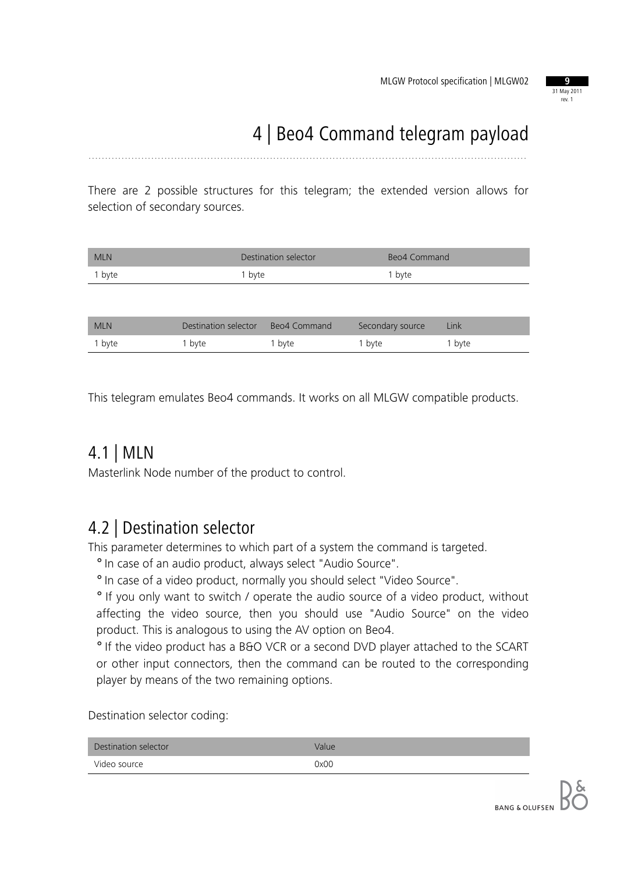

## 4 | Beo4 Command telegram payload

.....................................................................................................................................

There are 2 possible structures for this telegram; the extended version allows for selection of secondary sources.

| <b>MLN</b> | Destination selector | Beo4 Command |
|------------|----------------------|--------------|
| 1 byte     | 1 byte               | 1 byte       |
|            |                      |              |

| <b>MLN</b> | Destination selector | Beo4 Command      | Secondary source | Link   |
|------------|----------------------|-------------------|------------------|--------|
| I byte     | ' byte               | <sup>1</sup> byte | 1 byte           | 1 byte |

This telegram emulates Beo4 commands. It works on all MLGW compatible products.

#### 4.1 | MLN

Masterlink Node number of the product to control.

#### 4.2 | Destination selector

This parameter determines to which part of a system the command is targeted.

° In case of an audio product, always select "Audio Source".

° In case of a video product, normally you should select "Video Source".

° If you only want to switch / operate the audio source of a video product, without affecting the video source, then you should use "Audio Source" on the video product. This is analogous to using the AV option on Beo4.

° If the video product has a B&O VCR or a second DVD player attached to the SCART or other input connectors, then the command can be routed to the corresponding player by means of the two remaining options.

Destination selector coding:

| Destination selector | Value |
|----------------------|-------|
| Video source         | 0x00  |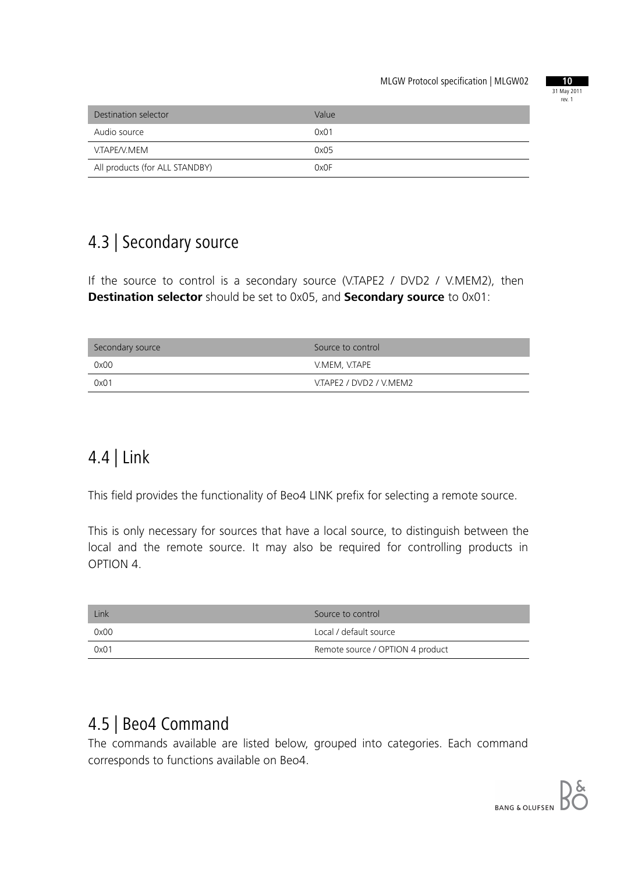

| Destination selector           | Value |
|--------------------------------|-------|
| Audio source                   | 0x01  |
| V.TAPE/V.MEM                   | 0x05  |
| All products (for ALL STANDBY) | 0x0F  |

### 4.3 | Secondary source

If the source to control is a secondary source (V.TAPE2 / DVD2 / V.MEM2), then **Destination selector** should be set to 0x05, and **Secondary source** to 0x01:

| Secondary source | Source to control       |
|------------------|-------------------------|
| 0x00             | V.MEM, V.TAPE           |
| 0x01             | V.TAPE2 / DVD2 / V.MEM2 |

### 4.4 | Link

This field provides the functionality of Beo4 LINK prefix for selecting a remote source.

This is only necessary for sources that have a local source, to distinguish between the local and the remote source. It may also be required for controlling products in OPTION 4.

| Link | Source to control                |
|------|----------------------------------|
| 0x00 | Local / default source           |
| 0x01 | Remote source / OPTION 4 product |

### 4.5 | Beo4 Command

The commands available are listed below, grouped into categories. Each command corresponds to functions available on Beo4.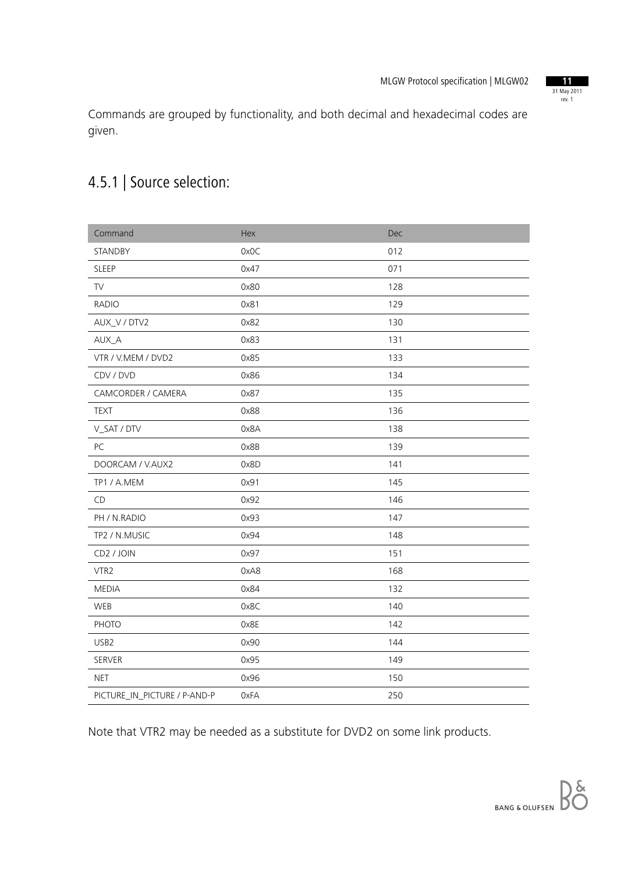

Commands are grouped by functionality, and both decimal and hexadecimal codes are given.

### 4.5.1 | Source selection:

| Command                      | Hex  | Dec |
|------------------------------|------|-----|
| <b>STANDBY</b>               | 0x0C | 012 |
| <b>SLEEP</b>                 | 0x47 | 071 |
| <b>TV</b>                    | 0x80 | 128 |
| <b>RADIO</b>                 | 0x81 | 129 |
| AUX_V / DTV2                 | 0x82 | 130 |
| AUX_A                        | 0x83 | 131 |
| VTR / V.MEM / DVD2           | 0x85 | 133 |
| CDV / DVD                    | 0x86 | 134 |
| CAMCORDER / CAMERA           | 0x87 | 135 |
| <b>TEXT</b>                  | 0x88 | 136 |
| V_SAT / DTV                  | 0x8A | 138 |
| PC                           | 0x8B | 139 |
| DOORCAM / V.AUX2             | 0x8D | 141 |
| TP1 / A.MEM                  | 0x91 | 145 |
| CD                           | 0x92 | 146 |
| PH / N.RADIO                 | 0x93 | 147 |
| TP2 / N.MUSIC                | 0x94 | 148 |
| CD2 / JOIN                   | 0x97 | 151 |
| VTR2                         | 0xA8 | 168 |
| <b>MEDIA</b>                 | 0x84 | 132 |
| WEB                          | 0x8C | 140 |
| PHOTO                        | 0x8E | 142 |
| USB <sub>2</sub>             | 0x90 | 144 |
| SERVER                       | 0x95 | 149 |
| <b>NET</b>                   | 0x96 | 150 |
| PICTURE_IN_PICTURE / P-AND-P | 0xFA | 250 |

Note that VTR2 may be needed as a substitute for DVD2 on some link products.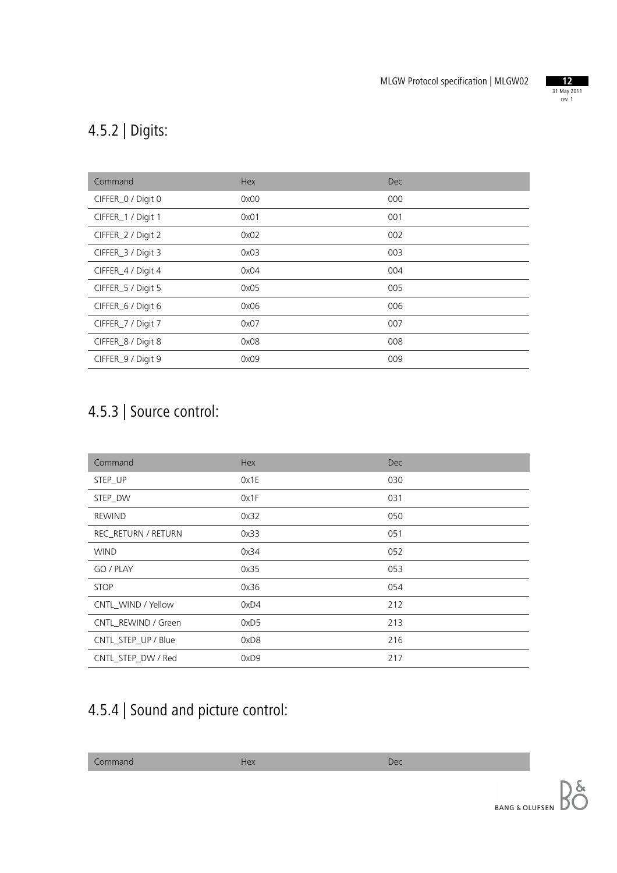

## 4.5.2 | Digits:

| Command            | Hex  | <b>Dec</b> |
|--------------------|------|------------|
| CIFFER_0 / Digit 0 | 0x00 | 000        |
| CIFFER_1 / Digit 1 | 0x01 | 001        |
| CIFFER_2 / Digit 2 | 0x02 | 002        |
| CIFFER_3 / Digit 3 | 0x03 | 003        |
| CIFFER_4 / Digit 4 | 0x04 | 004        |
| CIFFER_5 / Digit 5 | 0x05 | 005        |
| CIFFER_6 / Digit 6 | 0x06 | 006        |
| CIFFER_7 / Digit 7 | 0x07 | 007        |
| CIFFER_8 / Digit 8 | 0x08 | 008        |
| CIFFER_9 / Digit 9 | 0x09 | 009        |

## 4.5.3 | Source control:

| Command             | Hex  | <b>Dec</b> |
|---------------------|------|------------|
| STEP_UP             | 0x1E | 030        |
| STEP DW             | 0x1F | 031        |
| <b>REWIND</b>       | 0x32 | 050        |
| REC_RETURN / RETURN | 0x33 | 051        |
| <b>WIND</b>         | 0x34 | 052        |
| GO / PLAY           | 0x35 | 053        |
| <b>STOP</b>         | 0x36 | 054        |
| CNTL WIND / Yellow  | 0xD4 | 212        |
| CNTL REWIND / Green | 0xD5 | 213        |
| CNTL_STEP_UP / Blue | 0xD8 | 216        |
| CNTL_STEP_DW / Red  | 0xD9 | 217        |

## 4.5.4 | Sound and picture control: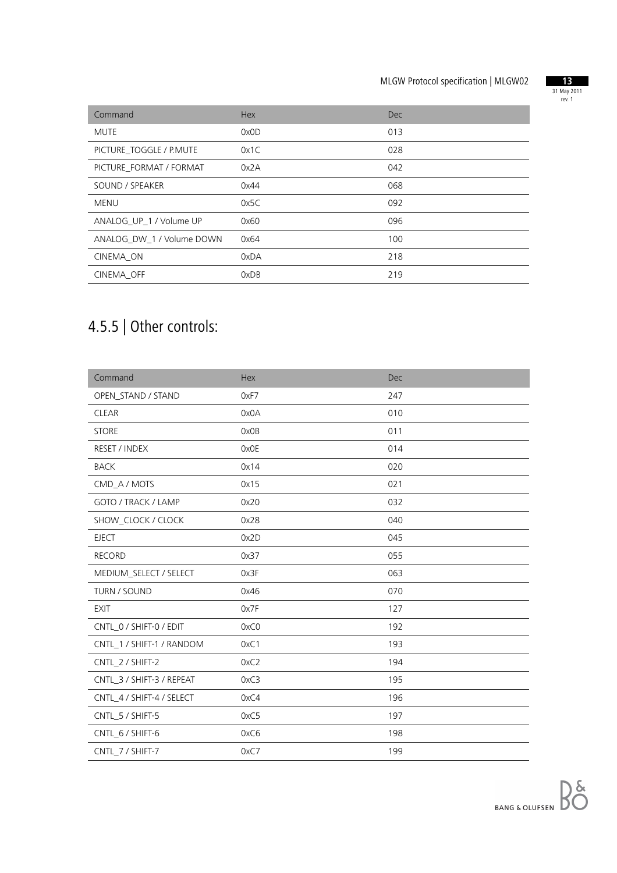

| Command                   | Hex  | <b>Dec</b> |
|---------------------------|------|------------|
| <b>MUTE</b>               | 0x0D | 013        |
| PICTURE TOGGLE / P.MUTE   | 0x1C | 028        |
| PICTURE FORMAT / FORMAT   | 0x2A | 042        |
| SOUND / SPEAKER           | 0x44 | 068        |
| MENU                      | 0x5C | 092        |
| ANALOG UP 1 / Volume UP   | 0x60 | 096        |
| ANALOG DW 1 / Volume DOWN | 0x64 | 100        |
| CINEMA ON                 | 0xDA | 218        |
| CINEMA OFF                | 0xDB | 219        |

## 4.5.5 | Other controls:

| Command                   | <b>Hex</b> | <b>Dec</b> |
|---------------------------|------------|------------|
| OPEN_STAND / STAND        | 0xF7       | 247        |
| <b>CLEAR</b>              | 0x0A       | 010        |
| <b>STORE</b>              | 0x0B       | 011        |
| <b>RESET / INDEX</b>      | 0x0E       | 014        |
| <b>BACK</b>               | 0x14       | 020        |
| CMD_A / MOTS              | 0x15       | 021        |
| GOTO / TRACK / LAMP       | 0x20       | 032        |
| SHOW_CLOCK / CLOCK        | 0x28       | 040        |
| <b>EJECT</b>              | 0x2D       | 045        |
| <b>RECORD</b>             | 0x37       | 055        |
| MEDIUM_SELECT / SELECT    | 0x3F       | 063        |
| TURN / SOUND              | 0x46       | 070        |
| <b>EXIT</b>               | 0x7F       | 127        |
| CNTL_0 / SHIFT-0 / EDIT   | 0xC0       | 192        |
| CNTL_1 / SHIFT-1 / RANDOM | 0xC1       | 193        |
| CNTL_2 / SHIFT-2          | 0xC2       | 194        |
| CNTL_3 / SHIFT-3 / REPEAT | 0xC3       | 195        |
| CNTL_4 / SHIFT-4 / SELECT | 0xC4       | 196        |
| CNTL_5 / SHIFT-5          | 0xC5       | 197        |
| CNTL_6 / SHIFT-6          | 0xC6       | 198        |
| CNTL_7 / SHIFT-7          | 0xC7       | 199        |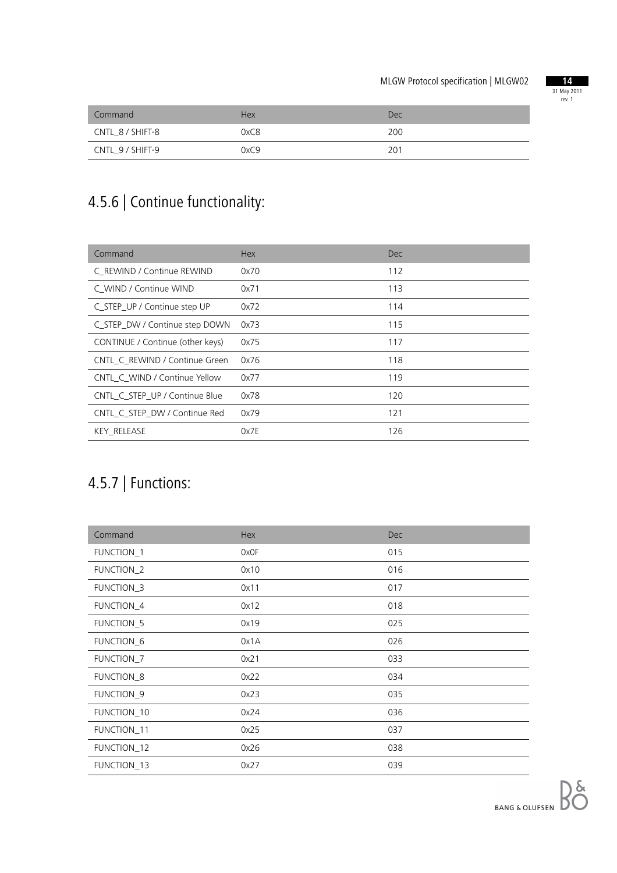

| Command          | <b>Hex</b> | Dec |
|------------------|------------|-----|
| CNTL 8 / SHIFT-8 | 0xC8       | 200 |
| CNTL_9 / SHIFT-9 | 0xC9       | 201 |

## 4.5.6 | Continue functionality:

| Command                          | <b>Hex</b> | Dec. |
|----------------------------------|------------|------|
| C REWIND / Continue REWIND       | 0x70       | 112  |
| C WIND / Continue WIND           | 0x71       | 113  |
| C_STEP_UP / Continue step UP     | 0x72       | 114  |
| C_STEP_DW / Continue step DOWN   | 0x73       | 115  |
| CONTINUE / Continue (other keys) | 0x75       | 117  |
| CNTL C REWIND / Continue Green   | 0x76       | 118  |
| CNTL C WIND / Continue Yellow    | 0x77       | 119  |
| CNTL C STEP UP / Continue Blue   | 0x78       | 120  |
| CNTL C STEP DW / Continue Red    | 0x79       | 121  |
| <b>KEY RELEASE</b>               | 0x7E       | 126  |

## 4.5.7 | Functions:

| Command               | Hex  | <b>Dec</b> |
|-----------------------|------|------------|
| <b>FUNCTION_1</b>     | 0x0F | 015        |
| FUNCTION_2            | 0x10 | 016        |
| FUNCTION_3            | 0x11 | 017        |
| FUNCTION_4            | 0x12 | 018        |
| FUNCTION_5            | 0x19 | 025        |
| FUNCTION <sub>6</sub> | 0x1A | 026        |
| FUNCTION_7            | 0x21 | 033        |
| FUNCTION_8            | 0x22 | 034        |
| FUNCTION_9            | 0x23 | 035        |
| FUNCTION_10           | 0x24 | 036        |
| FUNCTION_11           | 0x25 | 037        |
| FUNCTION_12           | 0x26 | 038        |
| FUNCTION_13           | 0x27 | 039        |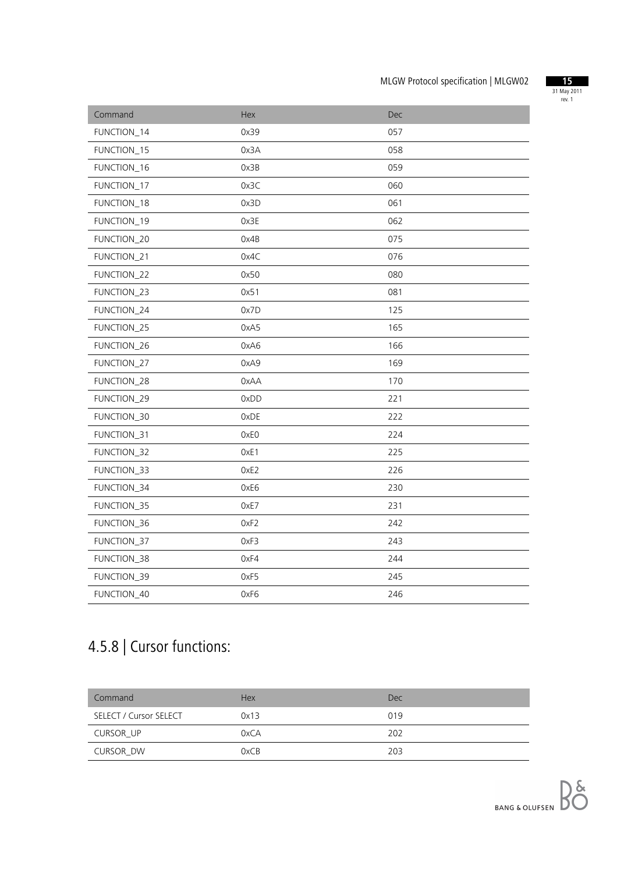

| Command     | Hex  | <b>Dec</b> |
|-------------|------|------------|
| FUNCTION_14 | 0x39 | 057        |
| FUNCTION_15 | 0x3A | 058        |
| FUNCTION_16 | 0x3B | 059        |
| FUNCTION_17 | 0x3C | 060        |
| FUNCTION_18 | 0x3D | 061        |
| FUNCTION_19 | 0x3E | 062        |
| FUNCTION_20 | 0x4B | 075        |
| FUNCTION_21 | 0x4C | 076        |
| FUNCTION_22 | 0x50 | 080        |
| FUNCTION_23 | 0x51 | 081        |
| FUNCTION_24 | 0x7D | 125        |
| FUNCTION_25 | 0xA5 | 165        |
| FUNCTION_26 | 0xA6 | 166        |
| FUNCTION_27 | 0xA9 | 169        |
| FUNCTION_28 | 0xAA | 170        |
| FUNCTION_29 | 0xDD | 221        |
| FUNCTION_30 | 0xDE | 222        |
| FUNCTION_31 | 0xE0 | 224        |
| FUNCTION_32 | OxE1 | 225        |
| FUNCTION_33 | OxE2 | 226        |
| FUNCTION_34 | 0xE6 | 230        |
| FUNCTION_35 | 0xE7 | 231        |
| FUNCTION_36 | OxF2 | 242        |
| FUNCTION_37 | 0xF3 | 243        |
| FUNCTION_38 | 0xF4 | 244        |
| FUNCTION_39 | 0xF5 | 245        |
| FUNCTION_40 | 0xF6 | 246        |

## 4.5.8 | Cursor functions:

| Command                | <b>Hex</b> | <b>Dec</b> |
|------------------------|------------|------------|
| SELECT / Cursor SELECT | 0x13       | 019        |
| CURSOR UP              | 0xCA       | 202        |
| CURSOR DW              | 0xCB       | 203        |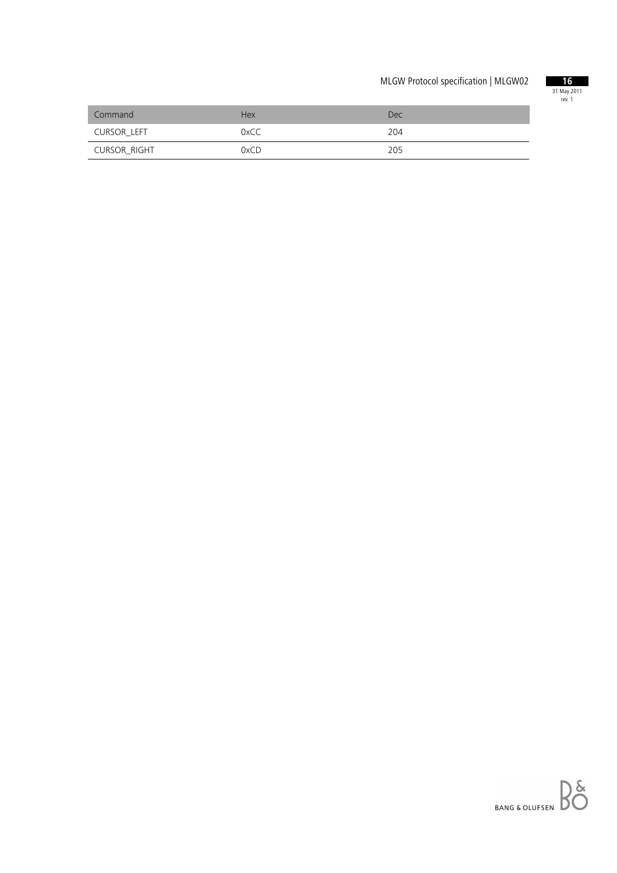

| Command      | <b>Hex</b> | Dec |
|--------------|------------|-----|
| CURSOR LEFT  | 0xCC       | 204 |
| CURSOR_RIGHT | 0xCD       | 205 |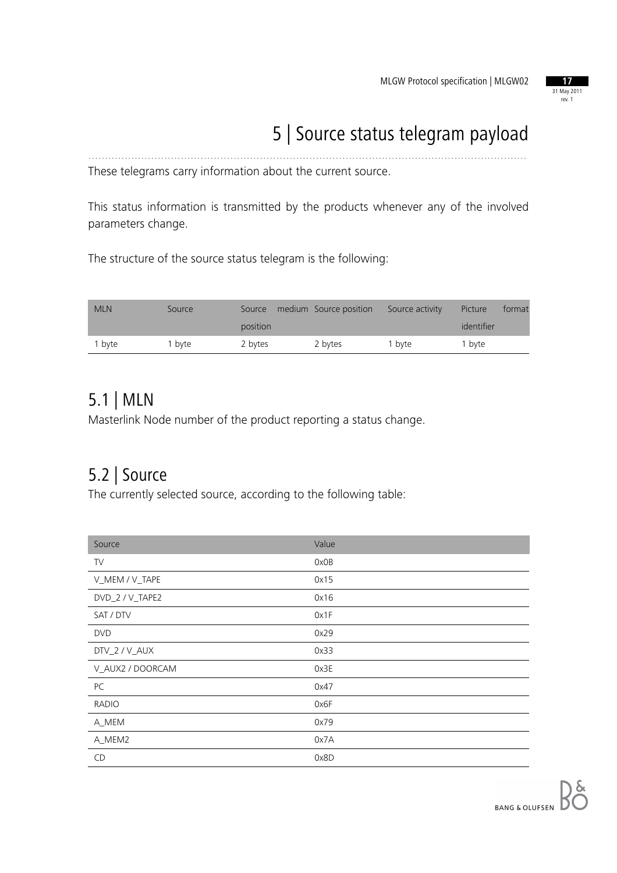

## 5 | Source status telegram payload

These telegrams carry information about the current source.

This status information is transmitted by the products whenever any of the involved parameters change.

.....................................................................................................................................

The structure of the source status telegram is the following:

| <b>MLN</b> | Source | Source   | medium Source position | Source activity | Picture    | format |
|------------|--------|----------|------------------------|-----------------|------------|--------|
|            |        | position |                        |                 | identifier |        |
| 1 byte     | l byte | 2 bytes  | 2 bytes                | 1 byte          | 1 byte     |        |

#### 5.1 | MLN

Masterlink Node number of the product reporting a status change.

#### 5.2 | Source

The currently selected source, according to the following table:

| Source           | Value |
|------------------|-------|
| TV               | 0x0B  |
| V_MEM / V_TAPE   | 0x15  |
| DVD_2 / V_TAPE2  | 0x16  |
| SAT / DTV        | 0x1F  |
| <b>DVD</b>       | 0x29  |
| DTV_2 / V_AUX    | 0x33  |
| V_AUX2 / DOORCAM | 0x3E  |
| PC               | 0x47  |
| <b>RADIO</b>     | 0x6F  |
| A_MEM            | 0x79  |
| A_MEM2           | 0x7A  |
| CD               | 0x8D  |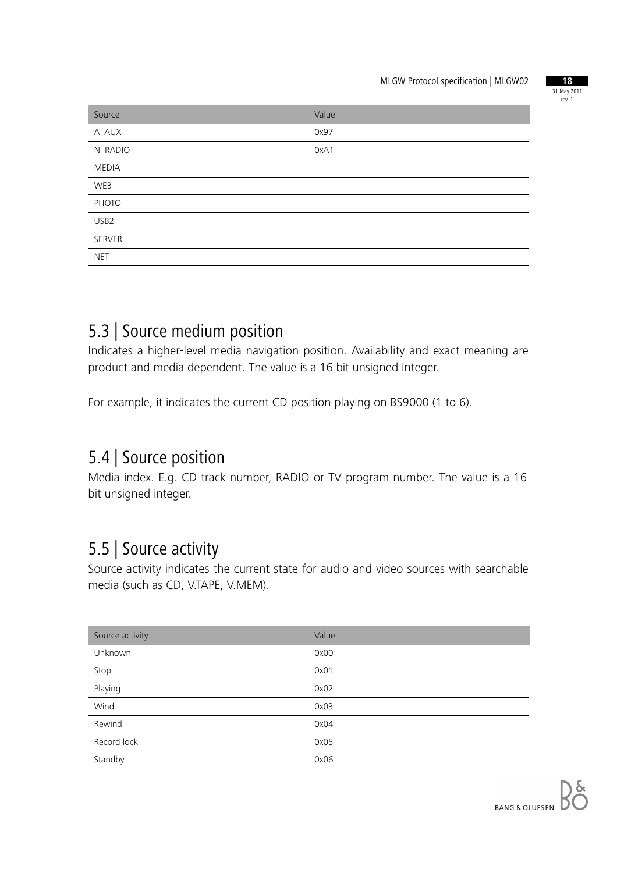

| Source           | Value |
|------------------|-------|
| A_AUX            | 0x97  |
| N_RADIO          | 0xA1  |
| <b>MEDIA</b>     |       |
| WEB              |       |
| PHOTO            |       |
| USB <sub>2</sub> |       |
| SERVER           |       |
| <b>NET</b>       |       |

#### 5.3 | Source medium position

Indicates a higher-level media navigation position. Availability and exact meaning are product and media dependent. The value is a 16 bit unsigned integer.

For example, it indicates the current CD position playing on BS9000 (1 to 6).

#### 5.4 | Source position

Media index. E.g. CD track number, RADIO or TV program number. The value is a 16 bit unsigned integer.

#### 5.5 | Source activity

Source activity indicates the current state for audio and video sources with searchable media (such as CD, V.TAPE, V.MEM).

| Source activity | Value |
|-----------------|-------|
| Unknown         | 0x00  |
| Stop            | 0x01  |
| Playing         | 0x02  |
| Wind            | 0x03  |
| Rewind          | 0x04  |
| Record lock     | 0x05  |
| Standby         | 0x06  |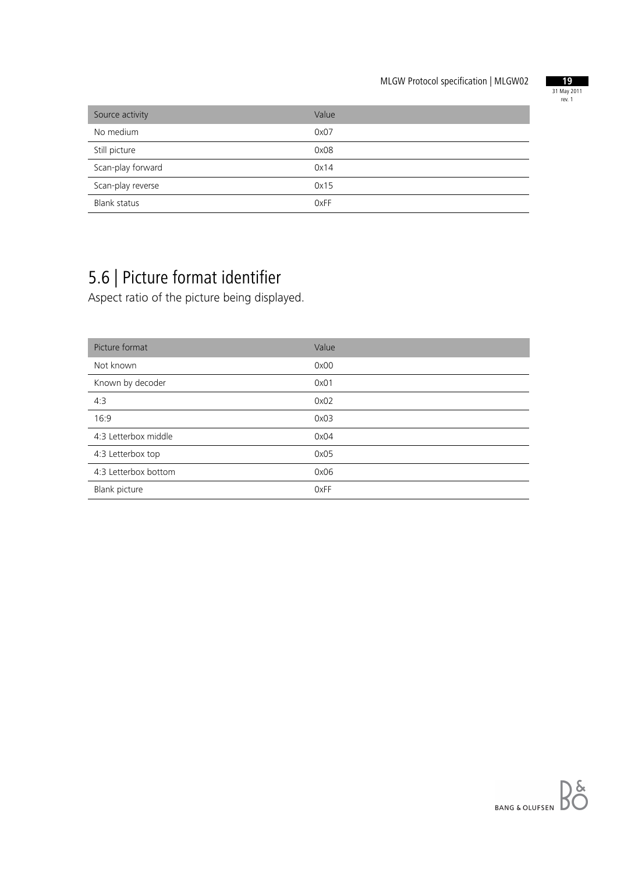

| Source activity     | Value |
|---------------------|-------|
| No medium           | 0x07  |
| Still picture       | 0x08  |
| Scan-play forward   | 0x14  |
| Scan-play reverse   | 0x15  |
| <b>Blank status</b> | 0xFF  |

## 5.6 | Picture format identifier

Aspect ratio of the picture being displayed.

| Picture format       | Value |
|----------------------|-------|
| Not known            | 0x00  |
| Known by decoder     | 0x01  |
| 4:3                  | 0x02  |
| 16:9                 | 0x03  |
| 4:3 Letterbox middle | 0x04  |
| 4:3 Letterbox top    | 0x05  |
| 4:3 Letterbox bottom | 0x06  |
| Blank picture        | 0xFF  |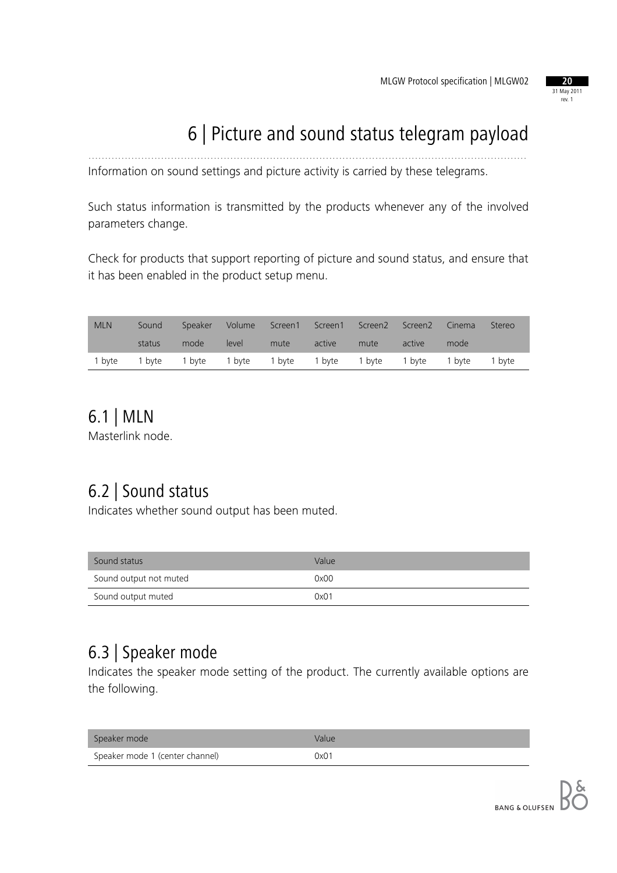

## 6 | Picture and sound status telegram payload

Information on sound settings and picture activity is carried by these telegrams.

Such status information is transmitted by the products whenever any of the involved parameters change.

.....................................................................................................................................

Check for products that support reporting of picture and sound status, and ensure that it has been enabled in the product setup menu.

| <b>MLN</b> | Sound  |                                                  | Speaker Volume |      |        | Screen1 Screen1 Screen2 Screen2 |        | Cinema | Stereo |
|------------|--------|--------------------------------------------------|----------------|------|--------|---------------------------------|--------|--------|--------|
|            | status | mode                                             | level          | mute | active | mute                            | active | mode   |        |
| 1 byte     | 1 byte | 1 byte 1 byte 1 byte 1 byte 1 byte 1 byte 1 byte |                |      |        |                                 |        |        | 1 byte |

### 6.1 | MLN

Masterlink node.

### 6.2 | Sound status

Indicates whether sound output has been muted.

| Sound status           | Value |
|------------------------|-------|
| Sound output not muted | 0x00  |
| Sound output muted     | 0x01  |

#### 6.3 | Speaker mode

Indicates the speaker mode setting of the product. The currently available options are the following.

| Speaker mode                    | Value |
|---------------------------------|-------|
| Speaker mode 1 (center channel) | 0x01  |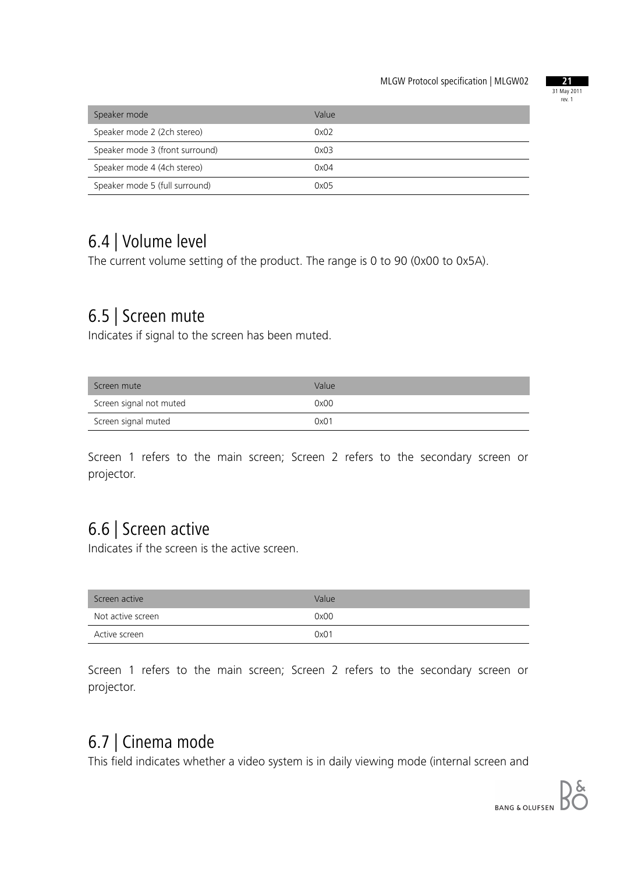

| Speaker mode                    | Value |
|---------------------------------|-------|
| Speaker mode 2 (2ch stereo)     | 0x02  |
| Speaker mode 3 (front surround) | 0x03  |
| Speaker mode 4 (4ch stereo)     | 0x04  |
| Speaker mode 5 (full surround)  | 0x05  |

#### 6.4 | Volume level

The current volume setting of the product. The range is 0 to 90 (0x00 to 0x5A).

#### 6.5 | Screen mute

Indicates if signal to the screen has been muted.

| Screen mute             | Value |
|-------------------------|-------|
| Screen signal not muted | 0x00  |
| Screen signal muted     | 0x01  |

Screen 1 refers to the main screen; Screen 2 refers to the secondary screen or projector.

#### 6.6 | Screen active

Indicates if the screen is the active screen.

| Screen active     | Value |
|-------------------|-------|
| Not active screen | 0x00  |
| Active screen     | 0x01  |

Screen 1 refers to the main screen; Screen 2 refers to the secondary screen or projector.

### 6.7 | Cinema mode

This field indicates whether a video system is in daily viewing mode (internal screen and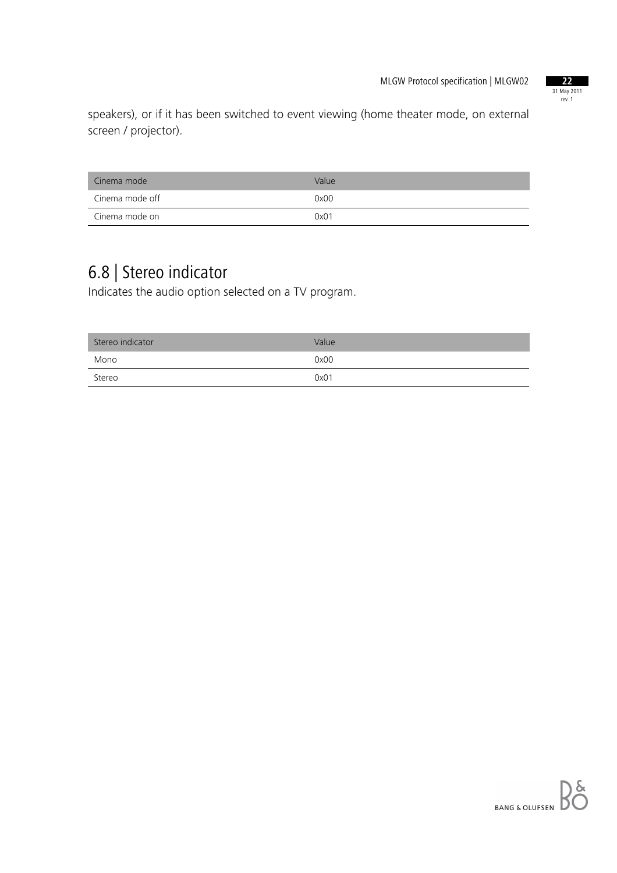

speakers), or if it has been switched to event viewing (home theater mode, on external screen / projector).

| Cinema mode     | Value |
|-----------------|-------|
| Cinema mode off | 0x00  |
| Cinema mode on  | 0x01  |

## 6.8 | Stereo indicator

Indicates the audio option selected on a TV program.

| Stereo indicator | Value |
|------------------|-------|
| Mono             | 0x00  |
| Stereo           | 0x01  |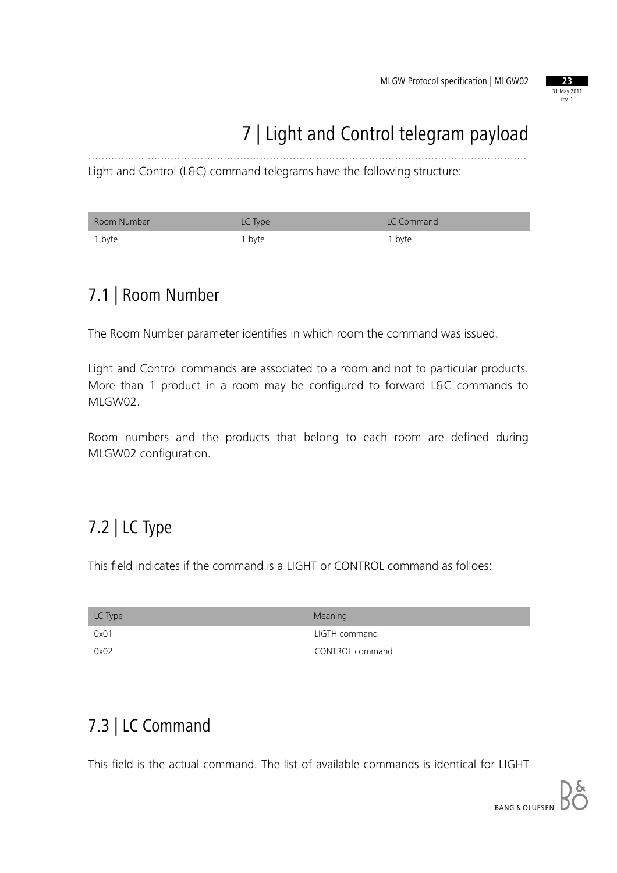

## 7 | Light and Control telegram payload

Light and Control (L&C) command telegrams have the following structure:

| Room Number | LC Type | LC Command        |
|-------------|---------|-------------------|
| 1 byte      | 1 byte  | <sup>1</sup> byte |

.....................................................................................................................................

#### 7.1 | Room Number

The Room Number parameter identifies in which room the command was issued.

Light and Control commands are associated to a room and not to particular products. More than 1 product in a room may be configured to forward L&C commands to MLGW02.

Room numbers and the products that belong to each room are defined during MLGW02 configuration.

## 7.2 | LC Type

This field indicates if the command is a LIGHT or CONTROL command as folloes:

| LC Type | Meaning         |
|---------|-----------------|
| 0x01    | LIGTH command   |
| 0x02    | CONTROL command |

## 7.3 | LC Command

This field is the actual command. The list of available commands is identical for LIGHT

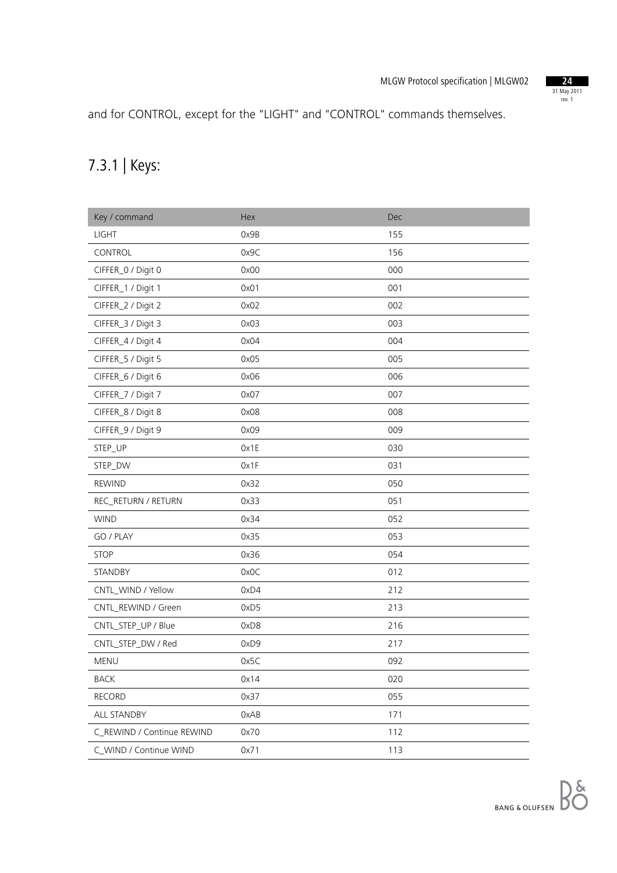

and for CONTROL, except for the "LIGHT" and "CONTROL" commands themselves.

## 7.3.1 | Keys:

| Key / command              | Hex  | Dec |
|----------------------------|------|-----|
| <b>LIGHT</b>               | 0x9B | 155 |
| CONTROL                    | 0x9C | 156 |
| CIFFER_0 / Digit 0         | 0x00 | 000 |
| CIFFER_1 / Digit 1         | 0x01 | 001 |
| CIFFER_2 / Digit 2         | 0x02 | 002 |
| CIFFER_3 / Digit 3         | 0x03 | 003 |
| CIFFER_4 / Digit 4         | 0x04 | 004 |
| CIFFER_5 / Digit 5         | 0x05 | 005 |
| CIFFER_6 / Digit 6         | 0x06 | 006 |
| CIFFER_7 / Digit 7         | 0x07 | 007 |
| CIFFER_8 / Digit 8         | 0x08 | 008 |
| CIFFER_9 / Digit 9         | 0x09 | 009 |
| STEP_UP                    | 0x1E | 030 |
| STEP_DW                    | Ox1F | 031 |
| <b>REWIND</b>              | 0x32 | 050 |
| REC_RETURN / RETURN        | 0x33 | 051 |
| <b>WIND</b>                | 0x34 | 052 |
| GO / PLAY                  | 0x35 | 053 |
| <b>STOP</b>                | 0x36 | 054 |
| STANDBY                    | 0x0C | 012 |
| CNTL_WIND / Yellow         | 0xD4 | 212 |
| CNTL_REWIND / Green        | 0xD5 | 213 |
| CNTL_STEP_UP / Blue        | 0xD8 | 216 |
| CNTL_STEP_DW / Red         | 0xD9 | 217 |
| <b>MENU</b>                | 0x5C | 092 |
| <b>BACK</b>                | 0x14 | 020 |
| <b>RECORD</b>              | 0x37 | 055 |
| ALL STANDBY                | 0xAB | 171 |
| C_REWIND / Continue REWIND | 0x70 | 112 |
| C_WIND / Continue WIND     | 0x71 | 113 |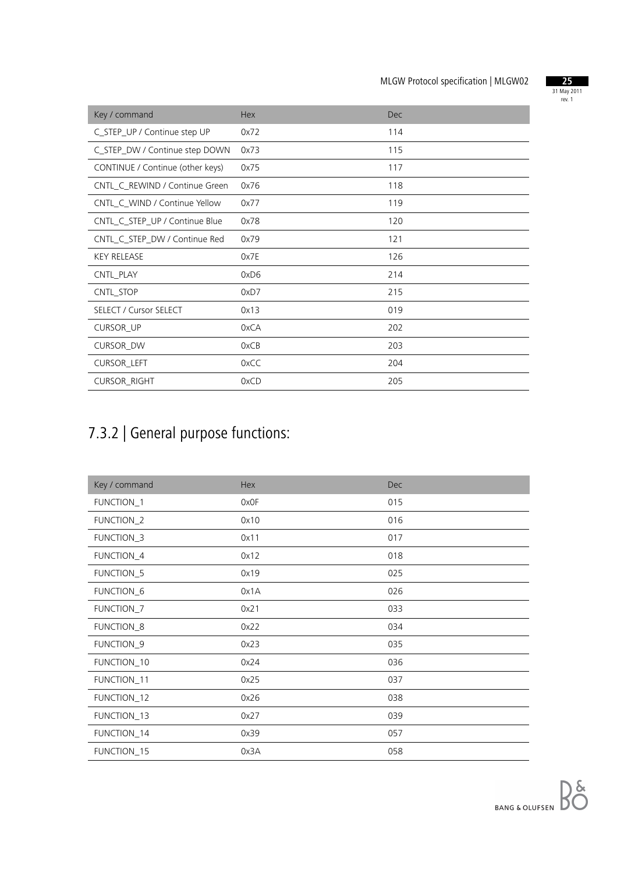

| Key / command                    | Hex  | <b>Dec</b> |
|----------------------------------|------|------------|
| C_STEP_UP / Continue step UP     | 0x72 | 114        |
| C_STEP_DW / Continue step DOWN   | 0x73 | 115        |
| CONTINUE / Continue (other keys) | 0x75 | 117        |
| CNTL_C_REWIND / Continue Green   | 0x76 | 118        |
| CNTL_C_WIND / Continue Yellow    | 0x77 | 119        |
| CNTL_C_STEP_UP / Continue Blue   | 0x78 | 120        |
| CNTL_C_STEP_DW / Continue Red    | 0x79 | 121        |
| <b>KEY RELEASE</b>               | 0x7E | 126        |
| CNTL_PLAY                        | 0xD6 | 214        |
| CNTL_STOP                        | 0xD7 | 215        |
| <b>SELECT / Cursor SELECT</b>    | 0x13 | 019        |
| <b>CURSOR_UP</b>                 | 0xCA | 202        |
| <b>CURSOR_DW</b>                 | 0xCB | 203        |
| CURSOR_LEFT                      | 0xCC | 204        |
| <b>CURSOR_RIGHT</b>              | 0xCD | 205        |

## 7.3.2 | General purpose functions:

| Key / command | Hex  | <b>Dec</b> |
|---------------|------|------------|
| FUNCTION_1    | 0x0F | 015        |
| FUNCTION_2    | 0x10 | 016        |
| FUNCTION_3    | 0x11 | 017        |
| FUNCTION_4    | 0x12 | 018        |
| FUNCTION_5    | 0x19 | 025        |
| FUNCTION_6    | 0x1A | 026        |
| FUNCTION_7    | 0x21 | 033        |
| FUNCTION_8    | 0x22 | 034        |
| FUNCTION_9    | 0x23 | 035        |
| FUNCTION_10   | 0x24 | 036        |
| FUNCTION_11   | 0x25 | 037        |
| FUNCTION_12   | 0x26 | 038        |
| FUNCTION_13   | 0x27 | 039        |
| FUNCTION_14   | 0x39 | 057        |
| FUNCTION_15   | 0x3A | 058        |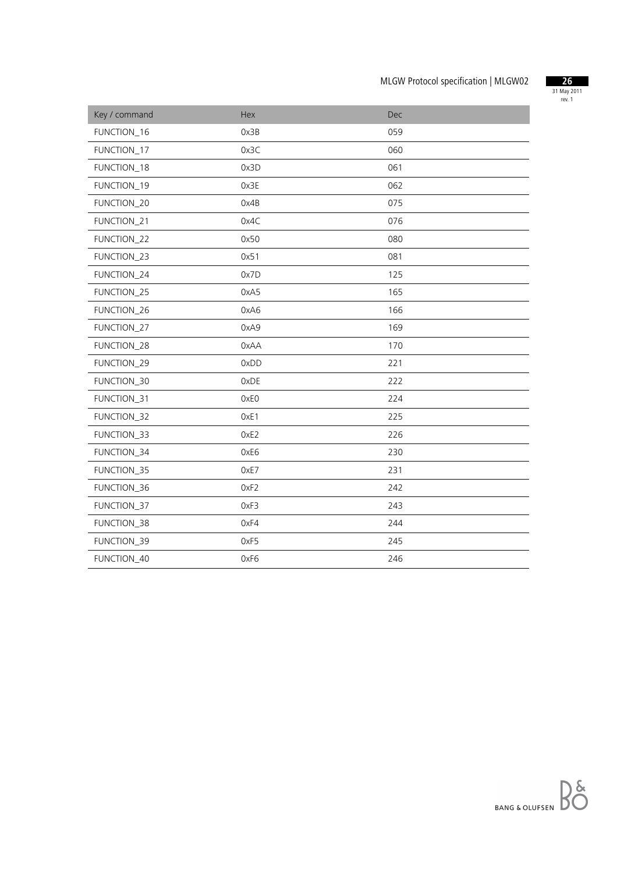

| Key / command      | Hex  | Dec |
|--------------------|------|-----|
| FUNCTION_16        | 0x3B | 059 |
| FUNCTION_17        | 0x3C | 060 |
| FUNCTION_18        | 0x3D | 061 |
| FUNCTION_19        | 0x3E | 062 |
| FUNCTION_20        | 0x4B | 075 |
| <b>FUNCTION 21</b> | 0x4C | 076 |
| FUNCTION_22        | 0x50 | 080 |
| FUNCTION_23        | 0x51 | 081 |
| FUNCTION_24        | 0x7D | 125 |
| FUNCTION_25        | 0xA5 | 165 |
| FUNCTION_26        | 0xA6 | 166 |
| FUNCTION_27        | 0xA9 | 169 |
| FUNCTION_28        | 0xAA | 170 |
| FUNCTION_29        | 0xDD | 221 |
| FUNCTION_30        | 0xDE | 222 |
| FUNCTION_31        | 0xE0 | 224 |
| FUNCTION_32        | OxE1 | 225 |
| FUNCTION_33        | OxE2 | 226 |
| FUNCTION_34        | 0xE6 | 230 |
| FUNCTION_35        | 0xE7 | 231 |
| FUNCTION_36        | OxF2 | 242 |
| FUNCTION_37        | 0xF3 | 243 |
| FUNCTION_38        | 0xF4 | 244 |
| FUNCTION_39        | 0xF5 | 245 |
| FUNCTION_40        | 0xF6 | 246 |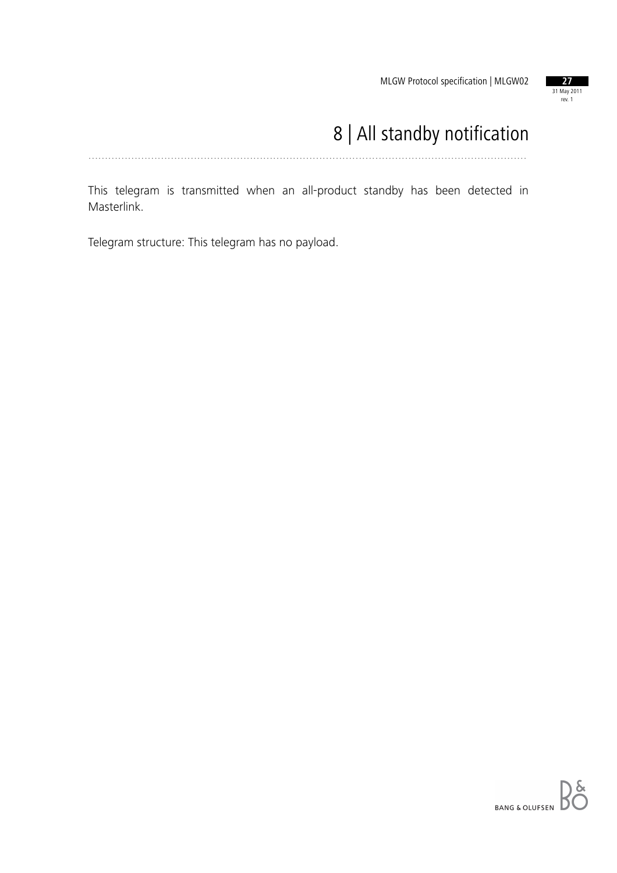

## 8 | All standby notification

.....................................................................................................................................

This telegram is transmitted when an all-product standby has been detected in Masterlink.

Telegram structure: This telegram has no payload.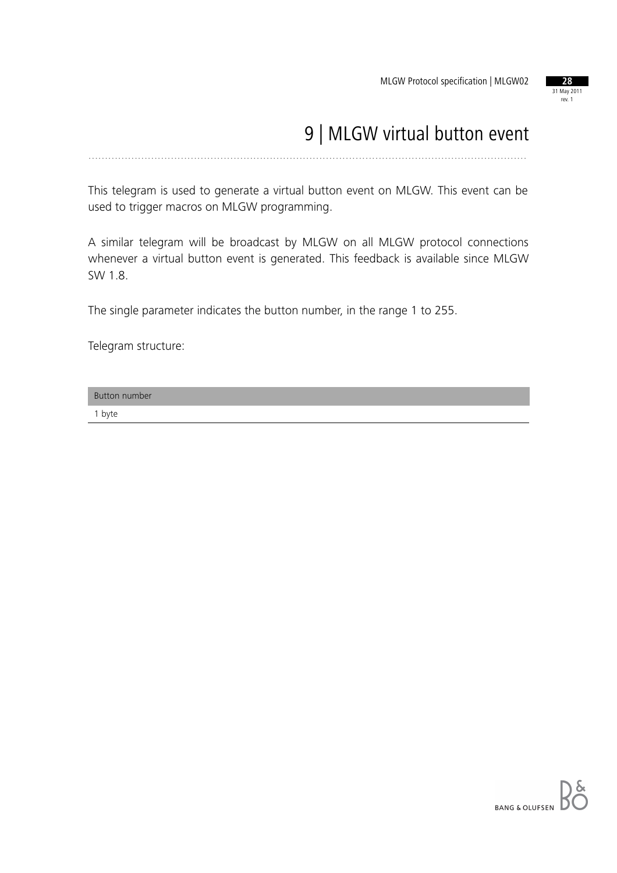

## 9 | MLGW virtual button event

.....................................................................................................................................

This telegram is used to generate a virtual button event on MLGW. This event can be used to trigger macros on MLGW programming.

A similar telegram will be broadcast by MLGW on all MLGW protocol connections whenever a virtual button event is generated. This feedback is available since MLGW SW 1.8.

The single parameter indicates the button number, in the range 1 to 255.

Telegram structure:

Button number 1 byte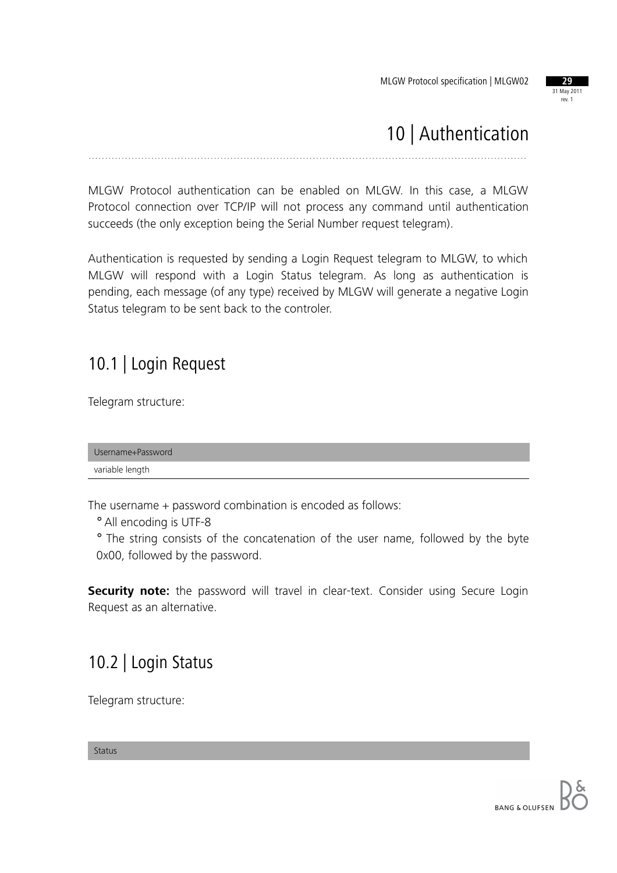

## 10 | Authentication

.....................................................................................................................................

MLGW Protocol authentication can be enabled on MLGW. In this case, a MLGW Protocol connection over TCP/IP will not process any command until authentication succeeds (the only exception being the Serial Number request telegram).

Authentication is requested by sending a Login Request telegram to MLGW, to which MLGW will respond with a Login Status telegram. As long as authentication is pending, each message (of any type) received by MLGW will generate a negative Login Status telegram to be sent back to the controler.

### 10.1 | Login Request

Telegram structure:

Username+Password variable length

The username + password combination is encoded as follows:

° All encoding is UTF-8

° The string consists of the concatenation of the user name, followed by the byte 0x00, followed by the password.

**Security note:** the password will travel in clear-text. Consider using Secure Login Request as an alternative.

## 10.2 | Login Status

Telegram structure:

Status

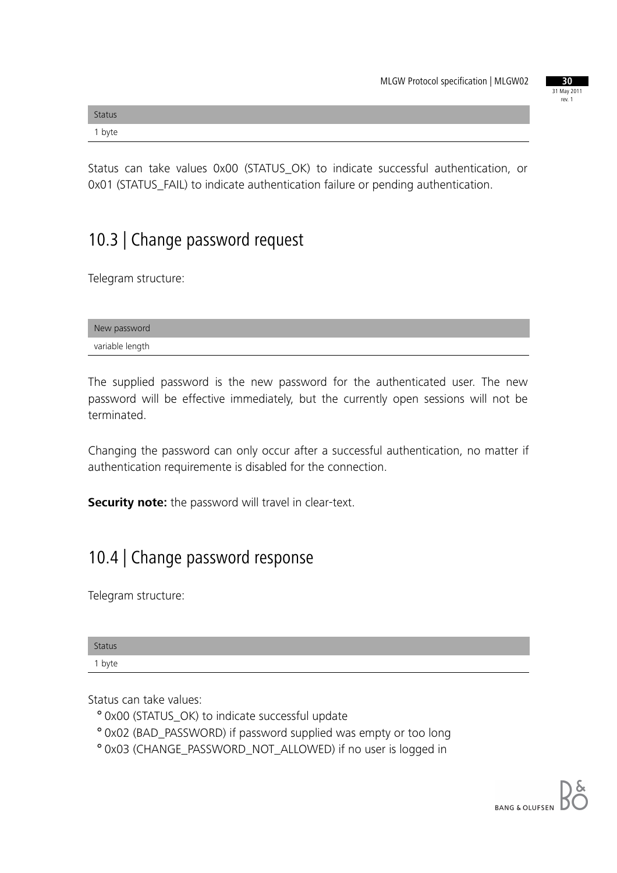| 30          |
|-------------|
| 31 May 2011 |
| rev. 1      |
|             |

| <b>Status</b> |  |  |
|---------------|--|--|
| 1 byte        |  |  |

Status can take values 0x00 (STATUS\_OK) to indicate successful authentication, or 0x01 (STATUS\_FAIL) to indicate authentication failure or pending authentication.

## 10.3 | Change password request

Telegram structure:

| New password    |  |
|-----------------|--|
| variable length |  |

The supplied password is the new password for the authenticated user. The new password will be effective immediately, but the currently open sessions will not be terminated.

Changing the password can only occur after a successful authentication, no matter if authentication requiremente is disabled for the connection.

**Security note:** the password will travel in clear-text.

#### 10.4 | Change password response

Telegram structure:

| <b>Status</b> |  |  |  |
|---------------|--|--|--|
| 1 byte        |  |  |  |

Status can take values:

- ° 0x00 (STATUS\_OK) to indicate successful update
- ° 0x02 (BAD\_PASSWORD) if password supplied was empty or too long
- ° 0x03 (CHANGE\_PASSWORD\_NOT\_ALLOWED) if no user is logged in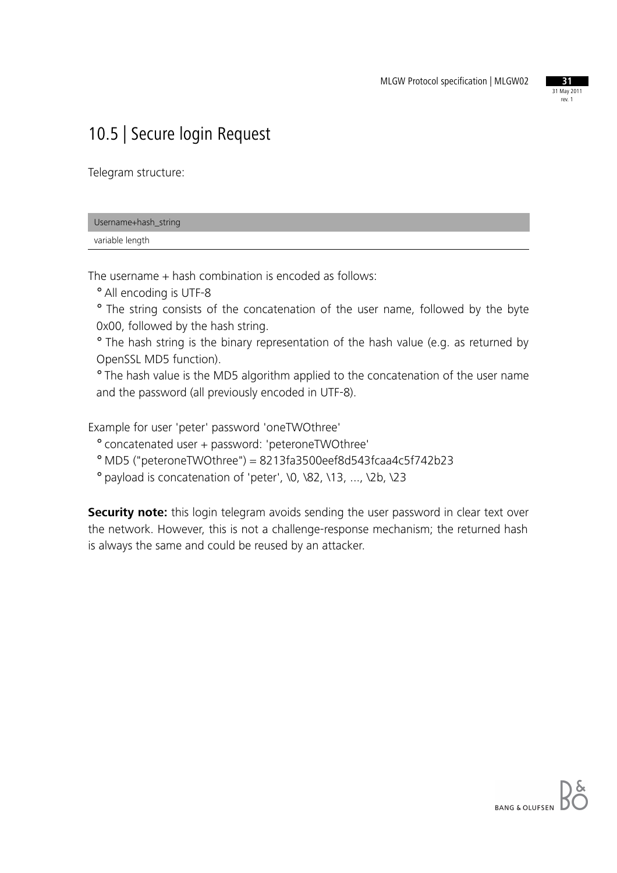

## 10.5 | Secure login Request

Telegram structure:

| Username+hash_string |  |
|----------------------|--|
| variable length      |  |

The username + hash combination is encoded as follows:

° All encoding is UTF-8

° The string consists of the concatenation of the user name, followed by the byte 0x00, followed by the hash string.

° The hash string is the binary representation of the hash value (e.g. as returned by OpenSSL MD5 function).

° The hash value is the MD5 algorithm applied to the concatenation of the user name and the password (all previously encoded in UTF-8).

Example for user 'peter' password 'oneTWOthree'

° concatenated user + password: 'peteroneTWOthree'

° MD5 ("peteroneTWOthree") = 8213fa3500eef8d543fcaa4c5f742b23

° payload is concatenation of 'peter', \0, \82, \13, ..., \2b, \23

**Security note:** this login telegram avoids sending the user password in clear text over the network. However, this is not a challenge-response mechanism; the returned hash is always the same and could be reused by an attacker.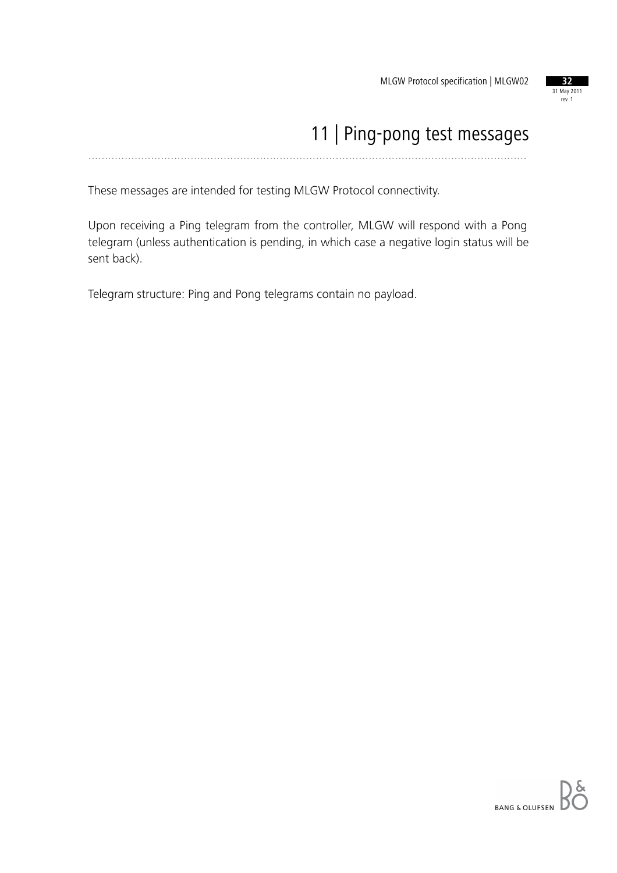

#### 11 | Ping-pong test messages .....................................................................................................................................

These messages are intended for testing MLGW Protocol connectivity.

Upon receiving a Ping telegram from the controller, MLGW will respond with a Pong telegram (unless authentication is pending, in which case a negative login status will be sent back).

Telegram structure: Ping and Pong telegrams contain no payload.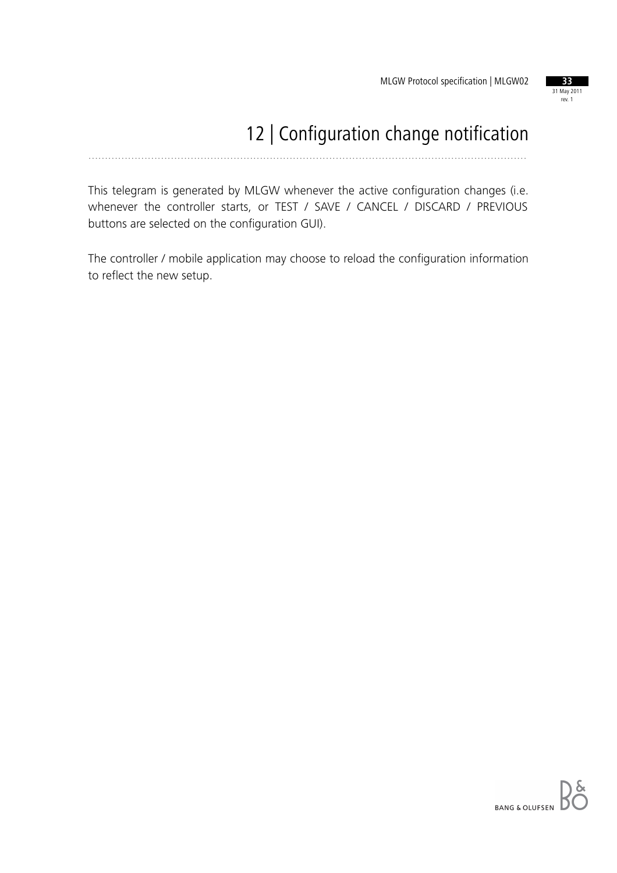

## 12 | Configuration change notification

.....................................................................................................................................

This telegram is generated by MLGW whenever the active configuration changes (i.e. whenever the controller starts, or TEST / SAVE / CANCEL / DISCARD / PREVIOUS buttons are selected on the configuration GUI).

The controller / mobile application may choose to reload the configuration information to reflect the new setup.